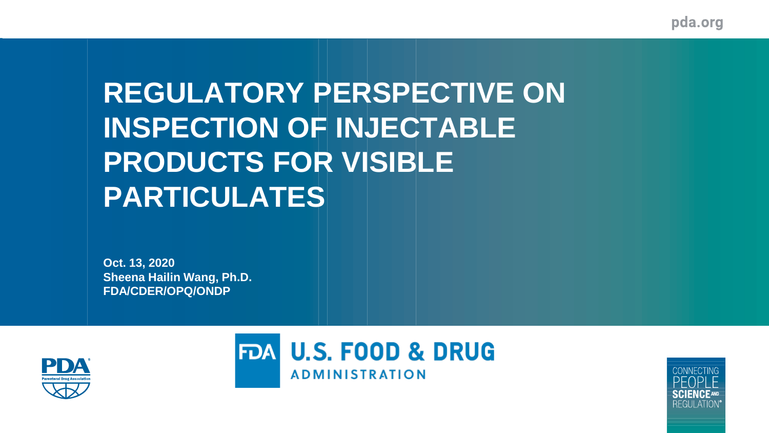pda.org

# **REGULATORY PERSPECTIVE ON INSPECTION OF INJECTABLE PRODUCTS FOR VISIBLE PARTICULATES**

**Oct. 13, 2020 Sheena Hailin Wang, Ph.D. FDA/CDER/OPQ/ONDP**





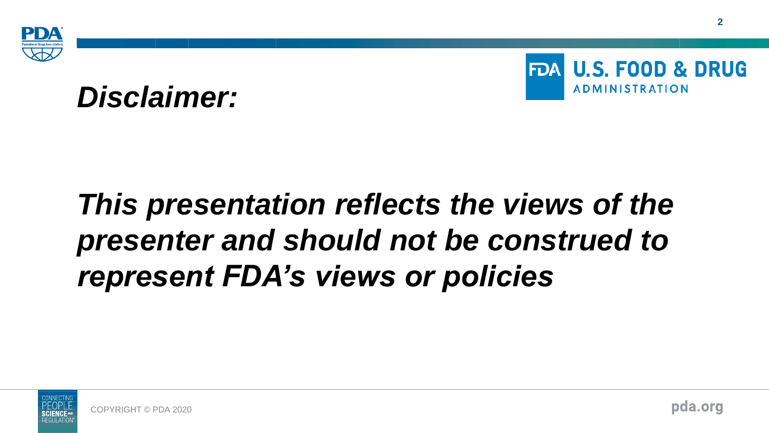





# *This presentation reflects the views of the presenter and should not be construed to represent FDA's views or policies*

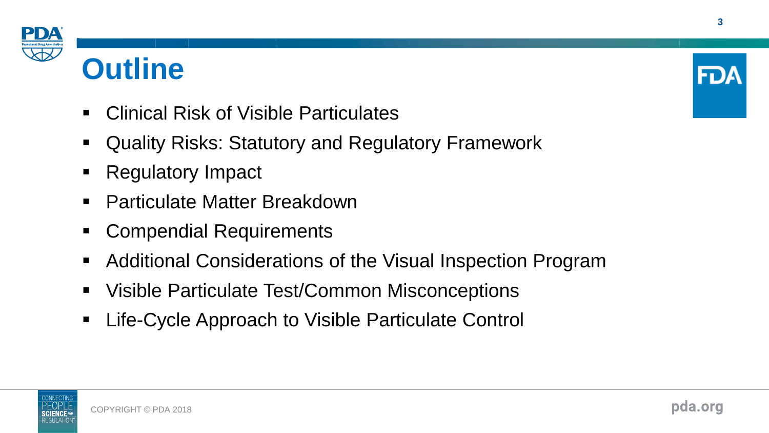

# **Outline**

- Clinical Risk of Visible Particulates
- Quality Risks: Statutory and Regulatory Framework
- **Regulatory Impact**
- Particulate Matter Breakdown
- **Compendial Requirements**
- Additional Considerations of the Visual Inspection Program
- Visible Particulate Test/Common Misconceptions
- Life-Cycle Approach to Visible Particulate Control



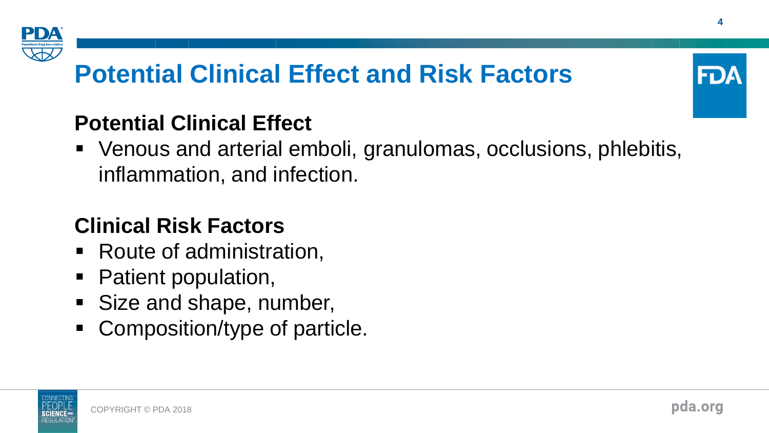

# **Potential Clinical Effect and Risk Factors**

### **Potential Clinical Effect**

■ Venous and arterial emboli, granulomas, occlusions, phlebitis, inflammation, and infection.

## **Clinical Risk Factors**

- Route of administration,
- Patient population,
- Size and shape, number,
- Composition/type of particle.



FD.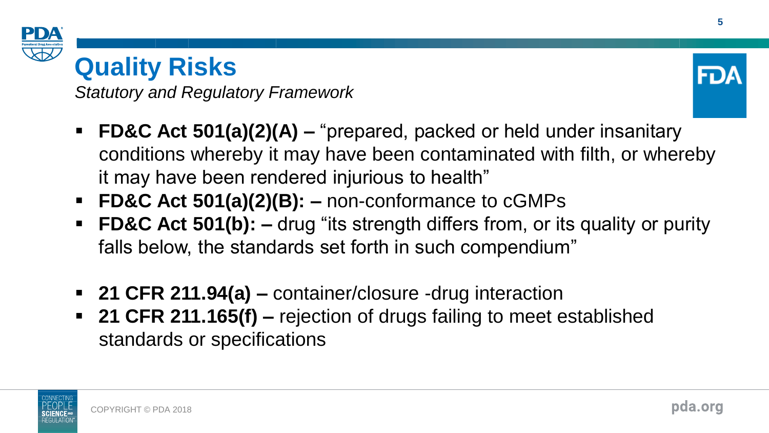

# **Quality Risks**

*Statutory and Regulatory Framework*



- **FD&C Act 501(a)(2)(A) –** "prepared, packed or held under insanitary conditions whereby it may have been contaminated with filth, or whereby it may have been rendered injurious to health"
- **FD&C Act 501(a)(2)(B): –** non-conformance to cGMPs
- **FD&C Act 501(b):** drug "its strength differs from, or its quality or purity falls below, the standards set forth in such compendium"
- **21 CFR 211.94(a) –** container/closure -drug interaction
- **21 CFR 211.165(f) –** rejection of drugs failing to meet established standards or specifications

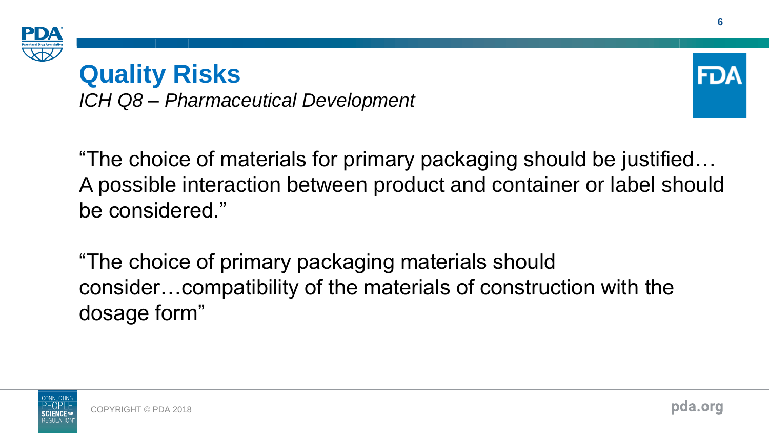

# **Quality Risks**

*ICH Q8 – Pharmaceutical Development*



"The choice of materials for primary packaging should be justified… A possible interaction between product and container or label should be considered."

"The choice of primary packaging materials should consider…compatibility of the materials of construction with the dosage form"

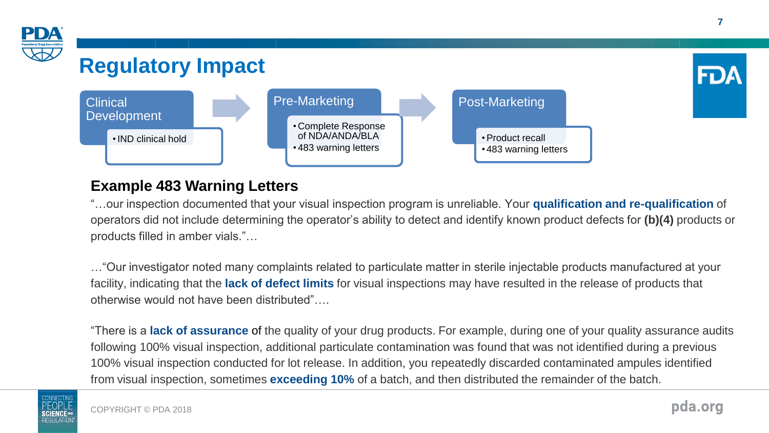

#### **Example 483 Warning Letters**

"…our inspection documented that your visual inspection program is unreliable. Your **qualification and re-qualification** of operators did not include determining the operator's ability to detect and identify known product defects for **(b)(4)** products or products filled in amber vials."…

…"Our investigator noted many complaints related to particulate matter in sterile injectable products manufactured at your facility, indicating that the **lack of defect limits** for visual inspections may have resulted in the release of products that otherwise would not have been distributed"….

"There is a **lack of assurance** of the quality of your drug products. For example, during one of your quality assurance audits following 100% visual inspection, additional particulate contamination was found that was not identified during a previous 100% visual inspection conducted for lot release. In addition, you repeatedly discarded contaminated ampules identified from visual inspection, sometimes **exceeding 10%** of a batch, and then distributed the remainder of the batch.

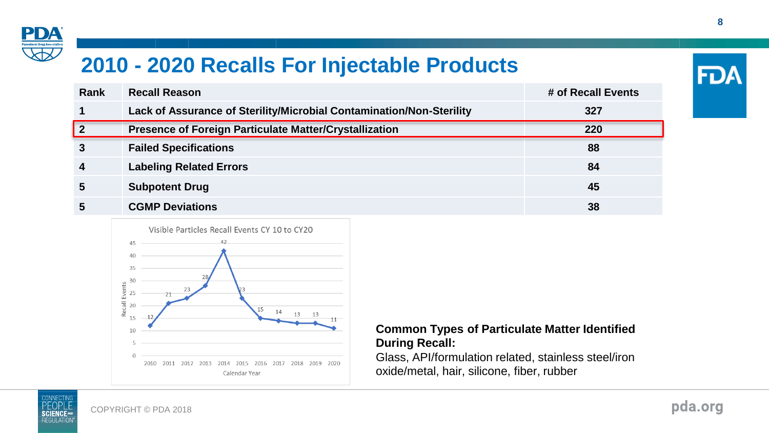

### **2010 - 2020 Recalls For Injectable Products**

| Rank                    | <b>Recall Reason</b>                                                 | # of Recall Events |
|-------------------------|----------------------------------------------------------------------|--------------------|
|                         | Lack of Assurance of Sterility/Microbial Contamination/Non-Sterility | 327                |
| $\overline{\mathbf{2}}$ | Presence of Foreign Particulate Matter/Crystallization               | 220                |
| 3                       | <b>Failed Specifications</b>                                         | 88                 |
| 4                       | <b>Labeling Related Errors</b>                                       | 84                 |
| 5                       | <b>Subpotent Drug</b>                                                | 45                 |
| 5                       | <b>CGMP Deviations</b>                                               | 38                 |



#### **Common Types of Particulate Matter Identified During Recall:**

Glass, API/formulation related, stainless steel/iron oxide/metal, hair, silicone, fiber, rubber

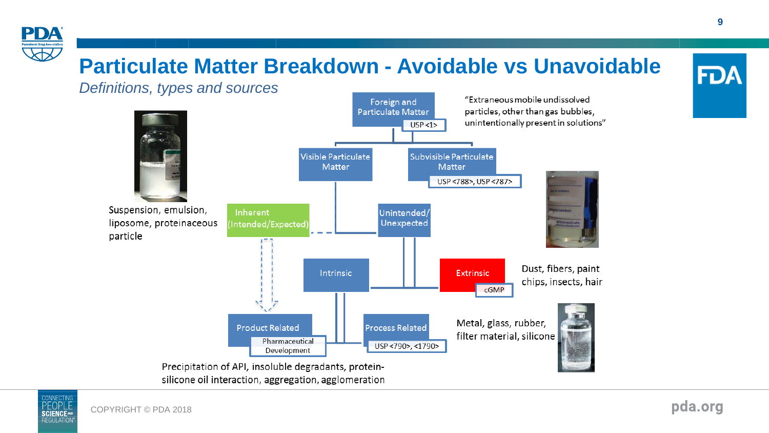

### **Particulate Matter Breakdown - Avoidable vs Unavoidable**





pda.org

**FDA**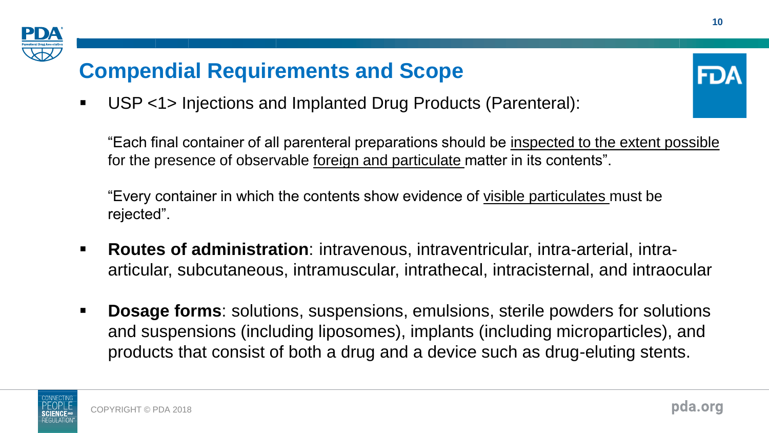

# **Compendial Requirements and Scope**



▪ USP <1> Injections and Implanted Drug Products (Parenteral):

"Each final container of all parenteral preparations should be inspected to the extent possible for the presence of observable foreign and particulate matter in its contents".

"Every container in which the contents show evidence of visible particulates must be rejected".

- **Routes of administration**: intravenous, intraventricular, intra-arterial, intraarticular, subcutaneous, intramuscular, intrathecal, intracisternal, and intraocular
- **Dosage forms**: solutions, suspensions, emulsions, sterile powders for solutions and suspensions (including liposomes), implants (including microparticles), and products that consist of both a drug and a device such as drug-eluting stents.

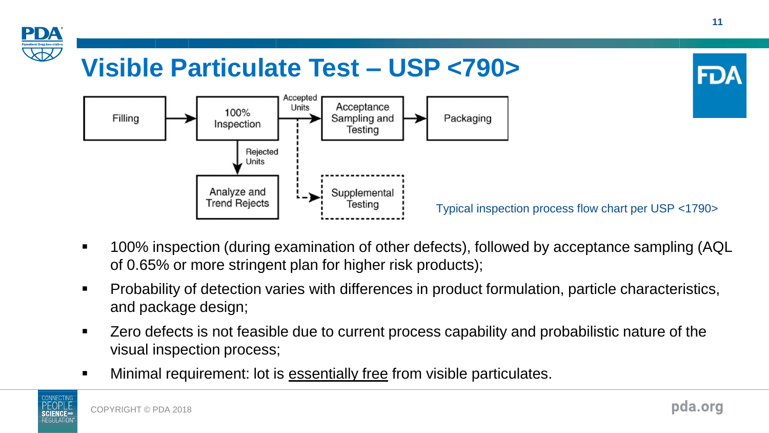

- 100% inspection (during examination of other defects), followed by acceptance sampling (AQL of 0.65% or more stringent plan for higher risk products);
- Probability of detection varies with differences in product formulation, particle characteristics, and package design;
- Zero defects is not feasible due to current process capability and probabilistic nature of the visual inspection process;
- **■** Minimal requirement: lot is essentially free from visible particulates.

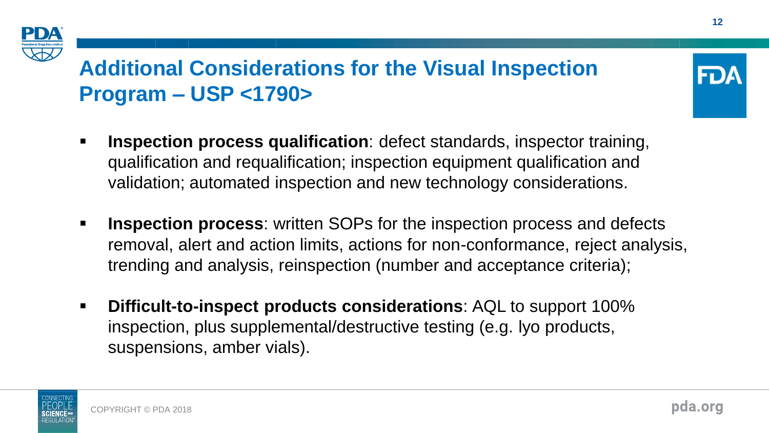

## **Additional Considerations for the Visual Inspection Program – USP <1790>**



- **Inspection process**: written SOPs for the inspection process and defects removal, alert and action limits, actions for non-conformance, reject analysis, trending and analysis, reinspection (number and acceptance criteria);
- **Difficult-to-inspect products considerations**: AQL to support 100% inspection, plus supplemental/destructive testing (e.g. lyo products, suspensions, amber vials).

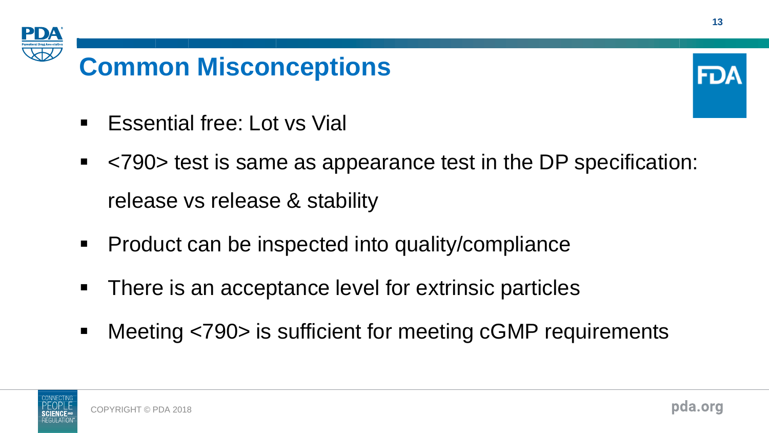

# **Common Misconceptions**



- Essential free: Lot vs Vial
- <790> test is same as appearance test in the DP specification: release vs release & stability
- Product can be inspected into quality/compliance
- There is an acceptance level for extrinsic particles
- Meeting <790> is sufficient for meeting cGMP requirements

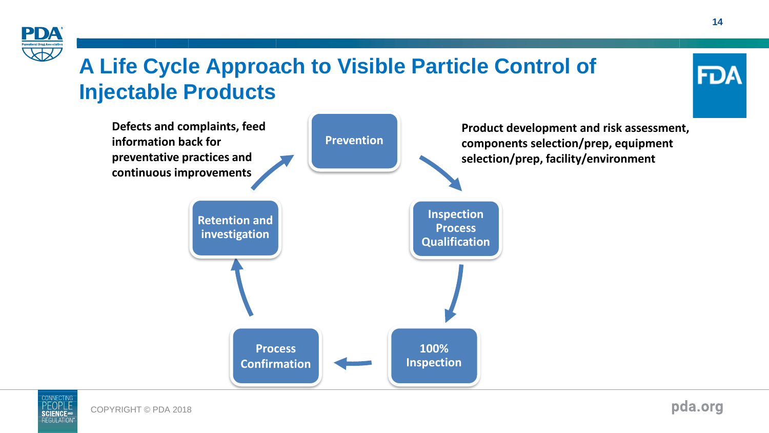

## **A Life Cycle Approach to Visible Particle Control of Injectable Products**







FD/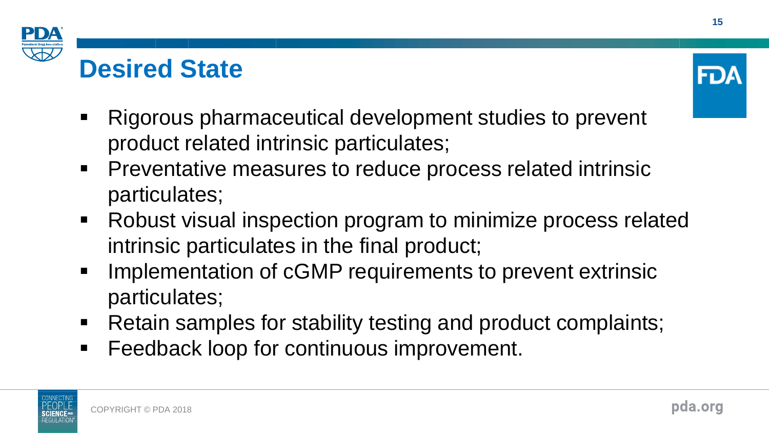





- Rigorous pharmaceutical development studies to prevent product related intrinsic particulates;
- Preventative measures to reduce process related intrinsic particulates;
- Robust visual inspection program to minimize process related intrinsic particulates in the final product;
- Implementation of cGMP requirements to prevent extrinsic particulates;
- Retain samples for stability testing and product complaints;
- Feedback loop for continuous improvement.